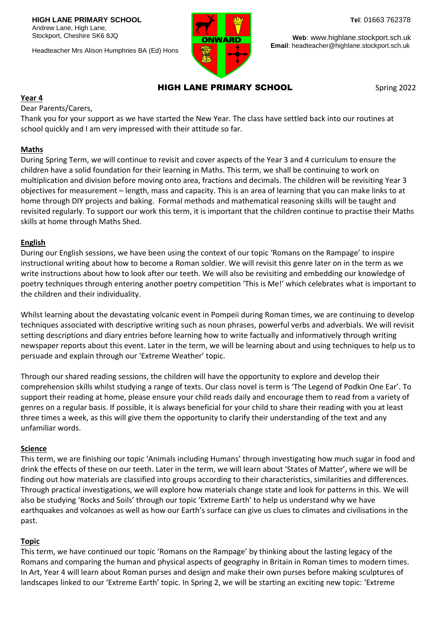Headteacher Mrs Alison Humphries BA (Ed) Hons



**Web**: www.highlane.stockport.sch.uk  **Email**: headteacher@highlane.stockport.sch.uk

# HIGH LANE PRIMARY SCHOOL

Spring 2022

#### **Year 4**

Dear Parents/Carers,

Thank you for your support as we have started the New Year. The class have settled back into our routines at school quickly and I am very impressed with their attitude so far.

#### **Maths**

During Spring Term, we will continue to revisit and cover aspects of the Year 3 and 4 curriculum to ensure the children have a solid foundation for their learning in Maths. This term, we shall be continuing to work on multiplication and division before moving onto area, fractions and decimals. The children will be revisiting Year 3 objectives for measurement – length, mass and capacity. This is an area of learning that you can make links to at home through DIY projects and baking. Formal methods and mathematical reasoning skills will be taught and revisited regularly. To support our work this term, it is important that the children continue to practise their Maths skills at home through Maths Shed.

### **English**

During our English sessions, we have been using the context of our topic 'Romans on the Rampage' to inspire instructional writing about how to become a Roman soldier. We will revisit this genre later on in the term as we write instructions about how to look after our teeth. We will also be revisiting and embedding our knowledge of poetry techniques through entering another poetry competition 'This is Me!' which celebrates what is important to the children and their individuality.

Whilst learning about the devastating volcanic event in Pompeii during Roman times, we are continuing to develop techniques associated with descriptive writing such as noun phrases, powerful verbs and adverbials. We will revisit setting descriptions and diary entries before learning how to write factually and informatively through writing newspaper reports about this event. Later in the term, we will be learning about and using techniques to help us to persuade and explain through our 'Extreme Weather' topic.

Through our shared reading sessions, the children will have the opportunity to explore and develop their comprehension skills whilst studying a range of texts. Our class novel is term is 'The Legend of Podkin One Ear'. To support their reading at home, please ensure your child reads daily and encourage them to read from a variety of genres on a regular basis. If possible, it is always beneficial for your child to share their reading with you at least three times a week, as this will give them the opportunity to clarify their understanding of the text and any unfamiliar words.

### **Science**

This term, we are finishing our topic 'Animals including Humans' through investigating how much sugar in food and drink the effects of these on our teeth. Later in the term, we will learn about 'States of Matter', where we will be finding out how materials are classified into groups according to their characteristics, similarities and differences. Through practical investigations, we will explore how materials change state and look for patterns in this. We will also be studying 'Rocks and Soils' through our topic 'Extreme Earth' to help us understand why we have earthquakes and volcanoes as well as how our Earth's surface can give us clues to climates and civilisations in the past.

### **Topic**

This term, we have continued our topic 'Romans on the Rampage' by thinking about the lasting legacy of the Romans and comparing the human and physical aspects of geography in Britain in Roman times to modern times. In Art, Year 4 will learn about Roman purses and design and make their own purses before making sculptures of landscapes linked to our 'Extreme Earth' topic. In Spring 2, we will be starting an exciting new topic: 'Extreme